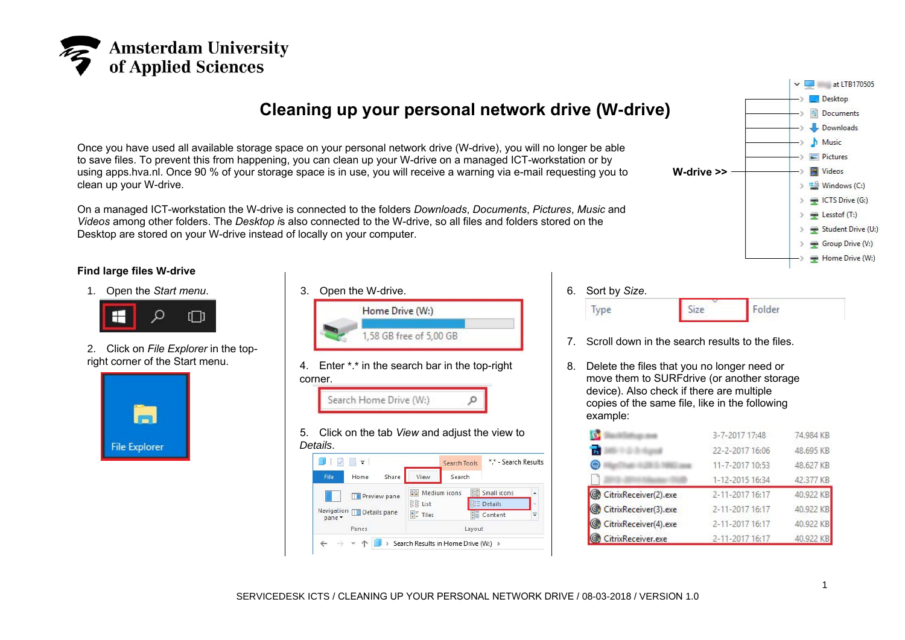

## **Cleaning up your personal network drive (W-drive)**

Once you have used all available storage space on your personal network drive (W-drive), you will no longer be able to save files. To prevent this from happening, you can clean up your W-drive on a managed ICT-workstation or by using apps.hva.nl. Once 90 % of your storage space is in use, you will receive a warning via e-mail requesting you to clean up your W-drive.

On a managed ICT-workstation the W-drive is connected to the folders *Downloads*, *Documents*, *Pictures*, *Music* and *Videos* among other folders. The *Desktop i*s also connected to the W-drive, so all files and folders stored on the Desktop are stored on your W-drive instead of locally on your computer.

## **Find large files W-drive**

1. Open the *Start menu*.



2. Click on *File Explorer* in the topright corner of the Start menu.



3. Open the W-drive. Home Drive (W:) 1.58 GB free of 5.00 GB 4. Enter \*.\* in the search bar in the top-right corner. Search Home Drive (W:) O 5. Click on the tab *View* and adjust the view to *Details*.





 $\vee$  at LTB170505 -> Desktop **Documents** Downloads **h** Music

- 6. Sort by *Size*. Folder Size Type
- 7. Scroll down in the search results to the files.
- 8. Delete the files that you no longer need or move them to SURFdrive (or another storage device). Also check if there are multiple copies of the same file, like in the following example:

|                       | 3-7-2017 17:48  | 74,984 KB |
|-----------------------|-----------------|-----------|
| $\frac{1}{12}$        | 22-2-2017 16:06 | 48,695 KB |
| ۵                     | 11-7-2017 10:53 | 48,627 KB |
|                       | 1-12-2015 16:34 | 42.377 KB |
| CitrixReceiver(2).exe | 2-11-2017 16:17 | 40.922 KB |
| CitrixReceiver(3).exe | 2-11-2017 16:17 | 40.922 KB |
| CitrixReceiver(4).exe | 2-11-2017 16:17 | 40.922 KB |
| CitrixReceiver.exe    | 2-11-2017 16:17 | 40.922 KB |